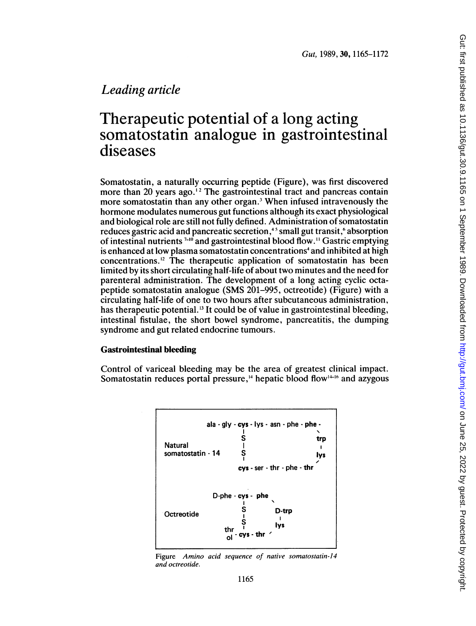# Leading article

# Therapeutic potential of a long acting somatostatin analogue in gastrointestinal diseases

Somatostatin, a naturally occurring peptide (Figure), was first discovered more than 20 years ago.<sup>12</sup> The gastrointestinal tract and pancreas contain more somatostatin than any other organ.3 When infused intravenously the hormone modulates numerous gut functions although its exact physiological and biological role are still not fully defined. Administration of somatostatin reduces gastric acid and pancreatic secretion,<sup>45</sup> small gut transit,<sup>6</sup> absorption of intestinal nutrients  $7-10$  and gastrointestinal blood flow.<sup>11</sup> Gastric emptying is enhanced at low plasma somatostatin concentrations<sup>4</sup> and inhibited at high concentrations.'2 The therapeutic application of somatostatin has been limited by its short circulating half-life of about two minutes and the need for parenteral administration. The development of a long acting cyclic octapeptide somatostatin analogue (SMS 201-995, octreotide) (Figure) with a circulating half-life of one to two hours after subcutaneous administration, has therapeutic potential.<sup>13</sup> It could be of value in gastrointestinal bleeding, intestinal fistulae, the short bowel syndrome, pancreatitis, the dumping syndrome and gut related endocrine tumours.

# Gastrointestinal bleeding

Control of variceal bleeding may be the area of greatest clinical impact. Somatostatin reduces portal pressure,<sup>14</sup> hepatic blood flow<sup> $1+16$ </sup> and azygous



Figure Amino acid sequence of native somatostatin-14 and octreotide.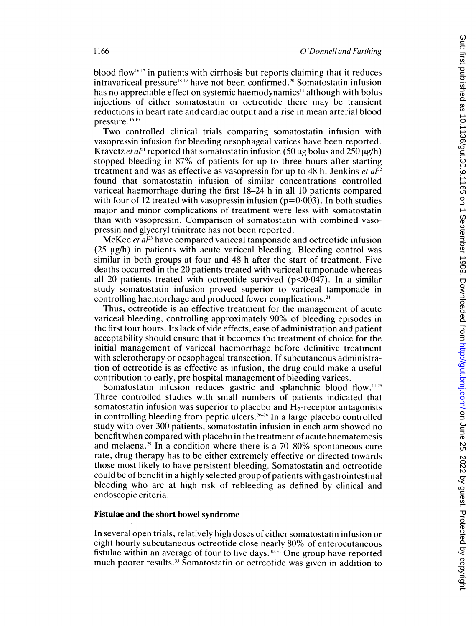blood flow<sup> $\mathfrak{h}$  17 in patients with cirrhosis but reports claiming that it reduces</sup> intravariceal pressure<sup>1849</sup> have not been confirmed.<sup>20</sup> Somatostatin infusion has no appreciable effect on systemic haemodynamics<sup>14</sup> although with bolus injections of either somatostatin or octreotide there may be transient reductions in heart rate and cardiac output and a rise in mean arterial blood pressure.<sup>16 19</sup>

Two controlled clinical trials comparing somatostatin infusion with vasopressin infusion for bleeding oesophageal varices have been reported. Kravetz et al<sup>21</sup> reported that somatostatin infusion (50  $\mu$ g bolus and 250  $\mu$ g/h) stopped bleeding in 87% of patients for up to three hours after starting treatment and was as effective as vasopressin for up to 48 h. Jenkins et  $aF^2$ found that somatostatin infusion of similar concentrations controlled variceal haemorrhage during the first 18-24 h in all 10 patients compared with four of 12 treated with vasopressin infusion ( $p=0.003$ ). In both studies major and minor complications of treatment were less with somatostatin than with vasopressin. Comparison of somatostatin with combined vasopressin and glyceryl trinitrate has not been reported.

McKee *et al*<sup>23</sup> have compared variceal tamponade and octreotide infusion  $(25 \mu g/h)$  in patients with acute variceal bleeding. Bleeding control was similar in both groups at four and 48 h after the start of treatment. Five deaths occurred in the 20 patients treated with variceal tamponade whereas all 20 patients treated with octreotide survived  $(p<0.047)$ . In a similar study somatostatin infusion proved superior to variceal tamponade in controlling haemorrhage and produced fewer complications.<sup>24</sup>

Thus, octreotide is an effective treatment for the management of acute variceal bleeding, controlling approximately 90% of bleeding episodes in the first four hours. Its lack of side effects, ease of administration and patient acceptability should ensure that it becomes the treatment of choice for the initial management of variceal haemorrhage before definitive treatment with sclerotherapy or oesophageal transection. If subcutaneous administration of octreotide is as effective as infusion, the drug could make a useful contribution to early, pre hospital management of bleeding varices.

Somatostatin infusion reduces gastric and splanchnic blood flow.<sup>1125</sup> Three controlled studies with small numbers of patients indicated that somatostatin infusion was superior to placebo and  $H_2$ -receptor antagonists in controlling bleeding from peptic ulcers.<sup>26-26</sup> In a large placebo controlled study with over 300 patients, somatostatin infusion in each arm showed no benefit when compared with placebo in the treatment of acute haematemesis and melaena.<sup>29</sup> In a condition where there is a  $70-80\%$  spontaneous cure rate, drug therapy has to be either extremely effective or directed towards those most likely to have persistent bleeding. Somatostatin and octreotide could be of benefit in a highly selected group of patients with gastrointestinal bleeding who are at high risk of rebleeding as defined by clinical and endoscopic criteria.

### Fistulae and the short bowel syndrome

In several open trials, relatively high doses of either somatostatin infusion or eight hourly subcutaneous octreotide close nearly 80% of enterocutaneous fistulae within an average of four to five days.  $30-34$  One group have reported much poorer results.<sup>35</sup> Somatostatin or octreotide was given in addition to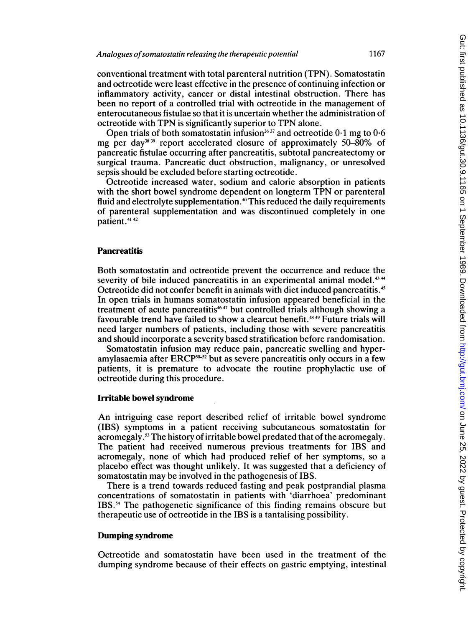conventional treatment with total parenteral nutrition (TPN). Somatostatin and octreotide were least effective in the presence of continuing infection or inflammatory activity, cancer or distal intestinal obstruction. There has been no report of a controlled trial with octreotide in the management of enterocutaneous fistulae so that it is uncertain whether the administration of octreotide with TPN is significantly superior to TPN alone.

Open trials of both somatostatin infusion<sup>3637</sup> and octreotide  $0.1$  mg to  $0.6$ mg per day<sup>38,39</sup> report accelerated closure of approximately  $50-\overline{80\%}$  of pancreatic fistulae occurring after pancreatitis, subtotal pancreatectomy or surgical trauma. Pancreatic duct obstruction, malignancy, or unresolved sepsis should be excluded before starting octreotide.

Octreotide increased water, sodium and calorie absorption in patients with the short bowel syndrome dependent on longterm TPN or parenteral fluid and electrolyte supplementation."' This reduced the daily requirements of parenteral supplementation and was discontinued completely in one patient.<sup>41 42</sup>

#### **Pancreatitis**

Both somatostatin and octreotide prevent the occurrence and reduce the severity of bile induced pancreatitis in an experimental animal model.<sup>4344</sup> Octreotide did not confer benefit in animals with diet induced pancreatitis.49 In open trials in humans somatostatin infusion appeared beneficial in the treatment of acute pancreatitis<sup>4647</sup> but controlled trials although showing a favourable trend have failed to show a clearcut benefit." <sup>49</sup> Future trials will need larger numbers of patients, including those with severe pancreatitis and should incorporate a severity based stratification before randomisation.

Somatostatin infusion may reduce pain, pancreatic swelling and hyperamylasaemia after  $ERCP^{30-52}$  but as severe pancreatitis only occurs in a few patients, it is premature to advocate the routine prophylactic use of octreotide during this procedure.

# Irritable bowel syndrome

An intriguing case report described relief of irritable bowel syndrome (IBS) symptoms in a patient receiving subcutaneous somatostatin for acromegaly.53 The history of irritable bowel predated that of the acromegaly. The patient had received numerous previous treatments for IBS and acromegaly, none of which had produced relief of her symptoms, so a placebo effect was thought unlikely. It was suggested that a deficiency of somatostatin may be involved in the pathogenesis of IBS.

There is a trend towards reduced fasting and peak postprandial plasma concentrations of somatostatin in patients with 'diarrhoea' predominant IBS.94 The pathogenetic significance of this finding remains obscure but therapeutic use of octreotide in the IBS is a tantalising possibility.

## Dumping syndrome

Octreotide and somatostatin have been used in the treatment of the dumping syndrome because of their effects on gastric emptying, intestinal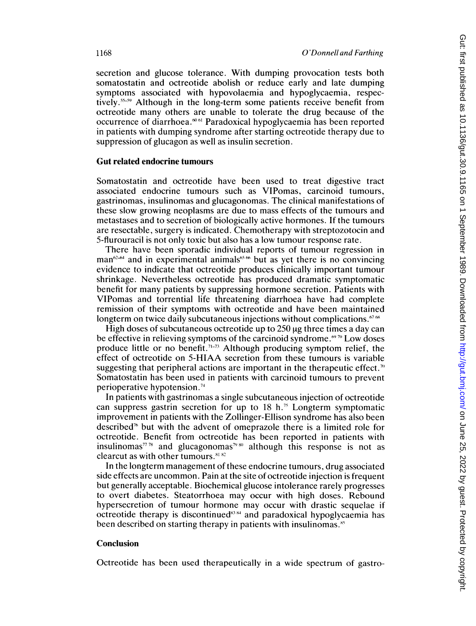secretion and glucose tolerance. With dumping provocation tests both somatostatin and octreotide abolish or reduce early and late dumping symptoms associated with hypovolaemia and hypoglycaemia, respectively.<sup>55-59</sup> Although in the long-term some patients receive benefit from octreotide many others are unable to tolerate the drug because of the occurrence of diarrhoea.<sup>6061</sup> Paradoxical hypoglycaemia has been reported in patients with dumping syndrome after starting octreotide therapy due to suppression of glucagon as well as insulin secretion.

## Gut related endocrine tumours

Somatostatin and octreotide have been used to treat digestive tract associated endocrine tumours such as VIPomas, carcinoid tumours, gastrinomas, insulinomas and glucagonomas. The clinical manifestations of these slow growing neoplasms are due to mass effects of the tumours and metastases and to secretion of biologically active hormones. If the tumours are resectable, surgery is indicated. Chemotherapy with streptozotocin and 5-flurouracil is not only toxic but also has a low tumour response rate.

There have been sporadic individual reports of tumour regression in man $62-64$  and in experimental animals<sup>65 66</sup> but as yet there is no convincing evidence to indicate that octreotide produces clinically important tumour shrinkage. Nevertheless octreotide has produced dramatic symptomatic benefit for many patients by suppressing hormone secretion. Patients with VlPomas and torrential life threatening diarrhoea have had complete remission of their symptoms with octreotide and have been maintained longterm on twice daily subcutaneous injections without complications. $50\%$ 

High doses of subcutaneous octreotide up to  $250 \,\mathrm{\mu g}$  three times a day can be effective in relieving symptoms of the carcinoid syndrome. $\mathbb{S}^{\omega}$  Low doses produce little or no benefit.<sup> $71-73$ </sup> Although producing symptom relief, the effect of octreotide on 5-HIAA secretion from these tumours is variable suggesting that peripheral actions are important in the therapeutic effect.<sup>70</sup> Somatostatin has been used in patients with carcinoid tumours to prevent perioperative hypotension.

In patients with gastrinomas a single subcutaneous injection of octreotide can suppress gastrin secretion for up to  $18 \text{ h.}^{\text{75}}$  Longterm symptomatic improvement in patients with the Zollinger-Ellison syndrome has also been described7` but with the advent of omeprazole there is <sup>a</sup> limited role for octreotide. Benefit from octreotide has been reported in patients with insulinomas<sup> $77\%$ </sup> and glucagonomas<sup>79.80</sup> although this response is not as clearcut as with other tumours.<sup>81 82</sup>

In the longterm management of these endocrine tumours, drug associated side effects are uncommon. Pain at the site of octreotide injection is frequent but generally acceptable. Biochemical glucose intolerance rarely progresses to overt diabetes. Steatorrhoea may occur with high doses. Rebound hypersecretion of tumour hormone may occur with drastic sequelae if octreotide therapy is discontinued<sup>83,84</sup> and paradoxical hypoglycaemia has been described on starting therapy in patients with insulinomas.<sup>85</sup>

### Conclusion

Octreotide has been used therapeutically in a wide spectrum of gastro-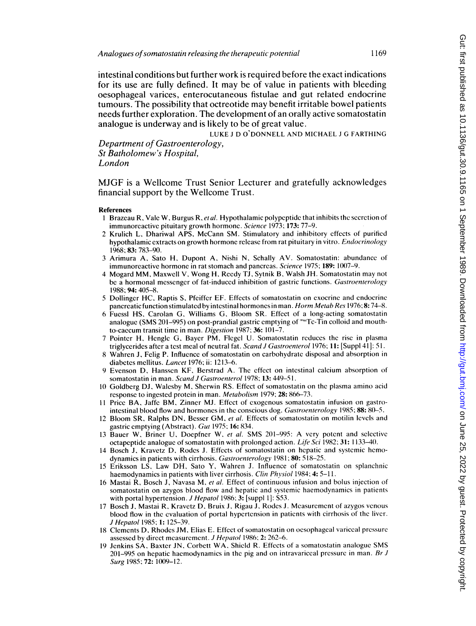intestinal conditions but further work is required before the exact indications for its use are fully defined. It may be of value in patients with bleeding oesophageal varices, enterocutaneous fistulae and gut related endocrine tumours. The possibility that octreotide may benefit irritable bowel patients needs further exploration. The development of an orally active somatostatin analogue is underway and is likely to be of great value.

LUKE J D O'DONNELL AND MICHAEL J G FARTHING

Department of Gastroenterology, St Batholomew's Hospital, London

MJGF is <sup>a</sup> Wellcome Trust Senior Lecturer and gratefully acknowledges financial support by the Wellcome Trust.

#### References

- 1 Brazeau R, Vale W, Burgus R, et al. Hypothalamic polypeptide that inhibits the secretion of immunoreactivc pituitary growth hormone. Science 1973; 173: 77-9.
- 2 Krulich L, Dhariwal APS, McCann SM. Stimulatory and inhibitory effects of purified hypothalamic extracts on growth hormone release from rat pituitary in vitro. *Endocrinology* 1968; 83: 783-90.
- <sup>3</sup> Arimura A, Sato H, Dupont A, Nishi N, Schally AV. Somatostatin: abundancc of immunoreactive hormone in rat stomach and pancreas. Science 1975; 189: 1007-9.
- <sup>4</sup> Mogard MM, Maxwell V, Wong H, Reedy TJ, Sytnik B, Walsh JH. Somatostatin may not be a hormonal messenger of fat-induced inhibition of gastric functions. Gastroenterology 1988; 94: 405-8.
- 5 Dollinger HC, Raptis S, Pfeiffer EF. Effects of somatostatin on exocrinc and endocrine pancreatic function stimulated by intestinal hormones in man. Horm Metab Res 1976; 8: 74-8.
- 6 Fuessl HS, Carolan G, Williams G, Bloom SR. Effect of a long-acting somatostatin analogue (SMS 201–995) on post-prandial gastric emptying of  $\frac{m}{n}$  C-Tin colloid and mouthto-caccum transit time in man. Digestion 1987; 36: 101-7.
- 7 Pointer H, Hengle G, Bayer PM, Flegel U. Somatostatin reduces the rise in plasma triglycerides after a test meal of neutral fat. Scand J Gastroenterol 1976; 11: [Suppl 41]: 51.
- 8 Wahren J, Felig P. Influence of somatostatin on carbohydratc disposal and absorption in diabetes mellitus. Lancet 1976; ii: 1213-6.
- 9 Evenson D, Hanssen KF, Berstrad A. The effect on intestinal calcium absorption of somatostatin in man. Scand J Gastroenterol 1978; 13: 449-51.
- <sup>10</sup> Goldberg DJ, Walesby M, Sherwin RS. Effect of somatostatin on the plasma amino acid response to ingested protein in man. Metabolism 1979; 28: 866-73.
- <sup>11</sup> Price BA, Jaffe BM, Zinner MJ. Effect of exogenous somatostatin infusion on gastrointestinal blood flow and hormones in the conscious dog. Gastroenterology 1985; 88: 80-5.
- 12 Bloom SR, Ralphs DN, Besser GM, et al. Effects of somatostatin on motilin levels and gastric emptying (Abstract). Gut 1975; 16: 834.
- 13 Bauer W, Briner U, Doepfner W, et al. SMS 201-995: A very potent and selective octapeptide analogue of somatostatin with prolonged action. Life Sci 1982; 31: 1133-40.
- <sup>14</sup> Bosch J, Kravetz D, Rodes J. Effects of somatostatin on hepatic and systemic hemodynamics in patients with cirrhosis. Gastroenterology 1981; 80: 518-25.
- <sup>15</sup> Eriksson LS, Law DH, Sato Y, Wahren J. Influence of somatostatin on splanchnic haemodynamics in patients with liver cirrhosis. Clin Physiol 1984; 4: 5-11.
- 16 Mastai R, Bosch J, Navasa M, et al. Effect of continuous infusion and bolus injection of somatostatin on azygos blood flow and hepatic and systemic haemodynamics in patients with portal hypertension. J Hepatol 1986; 3: [suppl 1]: S53.
- <sup>17</sup> Bosch J, Mastai R, Kravetz D, Bruix J, Rigau J, Rodes J. Measurement of azygos venous blood flow in the evaluation of portal hypertension in paticnts with cirrhosis of the liver. J Hepatol 1985; 1: 125-39.
- <sup>18</sup> Clements D, Rhodes JM, Elias E. Effect of somatostatin on oesophageal variceal pressure assessed by direct measurement. J Hepatol 1986; 2: 262-6.
- <sup>19</sup> Jenkins SA, Baxter JN, Corbett WA, Shield R. Effects of <sup>a</sup> somatostatin analogue SMS 201–995 on hepatic haemodynamics in the pig and on intravariceal pressure in man. Br  $J$ Surg 1985; 72: 1009-12.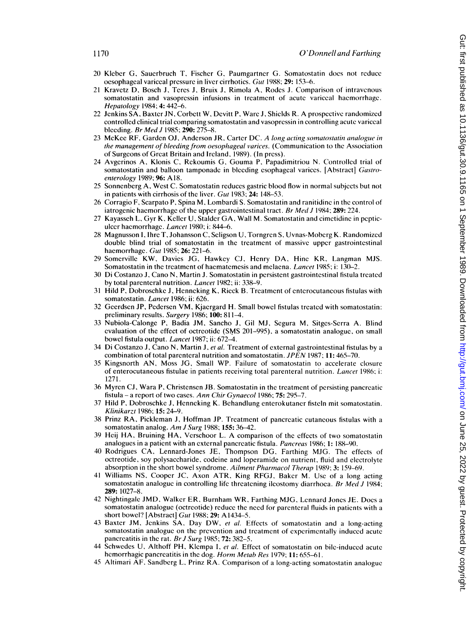- 20 Kleber G, Saucrbruch T, Fischer G, Paumgartner G. Somatostatin does not reducc oesophageal variceal pressure in liver cirrhotics. Gut 1988; 29: 153-6.
- 21 Kravetz D, Bosch J, Teres J, Bruix J, Rimola A, Rodes J. Comparison of intravenous somatostatin and vasopressin infusions in treatment of acute variceal haemorrhage. Hepatology 1984; 4: 442-6.
- 22 Jenkins SA, Baxter JN, Corbett W, Devitt P, WareJ, Shields R. A prospectivc randomized controlled clinical trial comparing somatostatin and vasoprcssin in controlling acute variceal bleeding. *Br Med J* 1985; **290:** 275–8.
- 23 McKee RF, Garden OJ, Anderson JR, Carter DC. A long acting somatostatin analogue in the management of bleeding from oesophageal varices. (Communication to the Association of Surgeons of Great Britain and Ireland, 1989). (In press).
- 24 Avgerinos A, Klonis C, Rekoumis G, Gouma P, Papadimitriou N. Controlled trial of somatostatin and balloon tamponade in bleeding esophageal varices. [Abstract] Gastroenterology 1989; 96: A18.
- 25 Sonnenberg A, West C. Somatostatin reduces gastric blood flow in normal subjects but not in patients with cirrhosis of the liver. Gut 1983; 24: 148-53.
- 26 Corragio F, Scarpato P, Spina M, Lombardi S. Somatostatin and ranitidinc in the control of iatrogenic haemorrhage of the upper gastrointestinal tract. *Br Med J* 1984; **289:** 224.
- 27 Kayasseh L, Gyr K, Keller U, Stalder GA, Wall M. Somatostatin and cimetidine in pcpticulcer haemorrhage. Lancet 1980; i: 844-6.
- 28 Magnusson 1, Ihre T, Johansson C, Seligson U, Torngren S, Uvnas-Moberg K. Randomized double blind trial of somatostatin in the treatment of massive upper gastrointestinal haemorrhage. Gut 1985; 26: 221-6.
- 29 Somerville KW, Davics JG, Hawkey CJ, Henry DA, Hine KR, Langman MJS. Somatostatin in the treatment of haematemesis and melaena. Lancet 1985; i: 130-2.
- 30 Di Costanzo J, Cano N, Martin J. Somatostatin in persistent gastrointestinal fistula treated by total parenteral nutrition. Lancet 1982; ii: 338-9.
- 31 Hild P, Dobroschkc J, Henneking K, Rieck B. Treatment of enterocutancous fistulas with somatostatin. Lancet 1986; ii: 626.
- 32 Geerdsen JP, Pedersen VM, Kjaergard H. Small bowel fistulas treated with somatostatin: preliminary results. Surgery 1986; 100: 811-4.
- 33 Nubiola-Calonge P, Badia JM, Sancho J, Gil MJ, Segura M, Sitges-Serra A. Blind evaluation of the effect of octreotide (SMS 201-995), a somatostatin analogue, on small bowel fistula output. Lancet 1987; ii: 672-4.
- 34 Di Costanzo J, Cano N, Martin J, *et al.* Treatment of external gastrointestinal fistulas by a combination of total parenteral nutrition and somatostatin. JPEN 1987; 11: 465-70.
- 35 Kingsnorth AN, Moss JG, Small WP. Failure of somatostatin to accelerate closure of enterocutaneous fistulae in patients receiving total parenteral nutrition. Lancet 1986; i: 1271.
- 36 Myren CJ, Wara P, Christensen JB. Somatostatin in the treatment of persisting pancreatic fistula - a report of two cases. Ann Chir Gynaecol 1986; 75: 295-7.
- 37 Hild P, Dobroschke J, Henneking K. Behandlung enterokutaner fisteln mit somatostatin. Klinikarzt 1986; 15: 24-9.
- 38 Prinz RA, Pickleman J, Hoffman JP. Treatment of pancreatic cutaneous fistulas with a somatostatin analog. Am J Surg 1988; 155: 36-42.
- 39 Hcij HA, Bruining HA, Verschoor L. A comparison of the cffects of two somatostatin analogues in a patient with an external pancreatic fistula. *Pancreas* 1986; 1: 188–90.
- 40 Rodrigues CA, Lennard-Jones JE, Thompson DG, Farthing MJG. The effects of octreotide, soy polysaccharide, codeine and loperamide on nutrient, fluid and electrolyte absorption in the short bowel syndrome. Ailment Pharmacol Therap 1989; 3: 159-69.
- <sup>41</sup> Williams NS, Cooper JC, Axon ATR, King RFGJ, Baker M. Use of a long acting somatostatin analogue in controlling life threatening ilcostomy diarrhoea. Br Med J 1984; 289: 1027-8.
- <sup>42</sup> Nightingale JMD, Walker ER, Burnham WR, Farthing MJG, Lennard Jones JE. Docs a somatostatin analogue (octreotide) reduce the need for parenteral fluids in patients with a short bowel? [Abstract] Gut 1988; 29: A1434-5.
- 43 Baxter JM, Jenkins SA, Day DW, et al. Effects of somatostatin and a long-acting somatostatin analogue on the prevention and treatment of experimcntally induced acute pancreatitis in the rat. *Br J Surg* 1985; **72:** 382–5.
- 44 Schwedes U, Althoff PH, Klempa I, et al. Effect of somatostatin on bile-induced acute hemorrhagic pancreatitis in the dog. Horm Metab Res 1979; 11: 655-61.
- 45 Altimari AF, Sandberg L, Prinz RA. Comparison of a long-acting somatostatin analoguc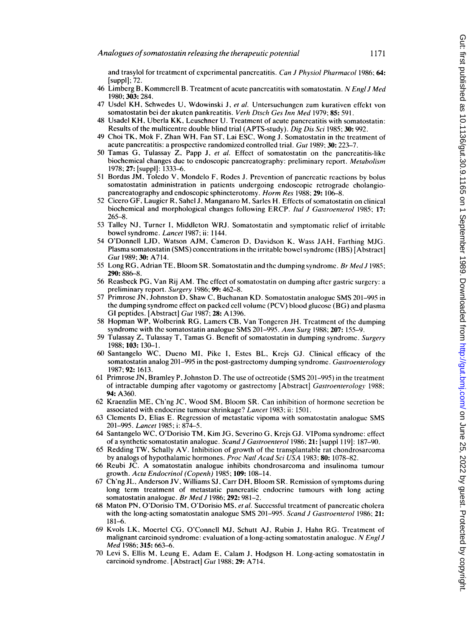and trasylol for treatment of experimental pancreatitis. Can J Physiol Pharmacol 1986; 64: [suppl]; 72.

- 46 Limberg B, Kommerell B. Treatment of acute pancreatitis with somatostatin. N Engl J Med 1980; 303: 284.
- 47 Usdel KH, Schwedes U, Wdowinski J, et al. Untersuchungen zum kurativen effekt von somatostatin bei der akuten pankreatitis. Verh Dtsch Ges Inn Med 1979; 85: 591.
- 48 Usadel KH, Uberla KK, Leuschner U. Treatment of acute pancreatitis with somatostatin: Results of the multicentre double blind trial (APTS-study). Dig Dis Sci 1985; 30: 992.
- <sup>49</sup> Choi TK, Mok F, Zhan WH, Fan ST, Lai ESC, Wong J. Somatostatin in the treatment of acute pancreatitis: a prospective randomized controlled trial. Gut 1989; 30: 223-7.
- <sup>50</sup> Tamas G, Tulassay Z, Papp J, et al. Effect of somatostatin on the pancreatitis-like biochemical changes due to endoscopic pancreatography: preliminary report. Metabolism 1978; 27: [suppl]: 1333-6.
- 51 Bordas JM, Toledo V, Mondelo F, Rodes J. Prevention of pancreatic reactions by bolus somatostatin administration in patients undergoing endoscopic retrograde cholangiopancreatography and endoscopic sphincterotomy. Horm Res 1988; 29: 106-8.
- 52 Cicero GF, Laugier R, Sahel J, Manganaro M, Sarles H. Effects of somatostatin on clinical biochemical and morphological changes following ERCP. Ital J Gastroenterol 1985; 17: 265-8.
- 53 Talley NJ, Turner I, Middleton WRJ. Somatostatin and symptomatic relief of irritable bowel syndrome. Lancet 1987; ii: 1144.
- 54 O'Donnell LID, Watson AJM, Cameron D, Davidson K. Wass JAH, Farthing MJG. Plasma somatostatin (SMS) concentrations in the irritable bowel syndrome (IBS) [Abstract] Gut 1989; 30: A714.
- 55 Long RG, Adrian TE, Bloom SR. Somatostatin and the dumping syndrome. Br Med J 1985; 290: 886-8.
- 56 Reasbeck PG, Van Rij AM. The effect of somatostatin on dumping after gastric surgery: <sup>a</sup> preliminary report. Surgery 1986; 99: 462-8.
- 57 Primrose JN, Johnston D, Shaw C, Buchanan KD. Somatostatin analogue SMS 201-995 in the dumping syndrome effect on packed cell volume (PCV) blood glucose (BG) and plasma GI peptides. [Abstract] Gut 1987; 28: A1396.
- 58 Hopman WP, Wolberink RG, Lamers CB, Van Tongeren JH. Treatment of the dumping syndrome with the somatostatin analogue SMS 201-995. Ann Surg 1988; 207: 155-9.
- 59 Tulassay Z, Tulassay T, Tamas G. Benefit of somatostatin in dumping syndrome. Surgery 1988; 103: 130-1.
- 60 Santangelo WC, Dueno MI, Pike I, Estes BL, Krejs GJ. Clinical efficacy of the somatostatin analog 201-995 in the post-gastrectomy dumping syndrome. Gastroenterology 1987; 92: 1613.
- 61 Primrose JN, Bramley P, Johnston D. The use of octreotide (SMS 201-995) in the treatment of intractable dumping after vagotomy or gastrectomy [Abstract] Gastroenterology 1988; 94: A360.
- 62 Kraenzlin ME, Ch'ng JC, Wood SM, Bloom SR. Can inhibition of hormone secretion be associated with endocrine tumour shrinkage? Lancet 1983; ii: 1501.
- 63 Clements D, Elias E. Regression of metastatic vipoma with somatostatin analogue SMS 201-995. Lancet 1985; i: 874-5.
- 64 Santangelo WC, O'Dorisio TM, Kim JG, Severino G, Krejs GJ. VIPoma syndrome: effect of a synthetic somatostatin analogue. Scand J Gastroenterol 1986; 21: [suppl 119]: 187-90.
- 65 Redding TW, Schally AV. Inhibition of growth of the transplantable rat chondrosarcoma by analogs of hypothalamic hormones. Proc Natl Acad Sci USA 1983; 80: 1078-82.
- <sup>66</sup> Reubi JC. A somatostatin analogue inhibits chondrosarcoma and insulinoma tumour growth. Acta Endocrinol (Copenh) 1985; 109: 108-14.
- 67 Ch'ng JL, Anderson JV, Williams SJ, Carr DH, Bloom SR. Rcmission of symptoms during long term treatment of metastatic pancreatic endocrine tumours with long acting somatostatin analogue. Br Med J 1986; 292: 981-2.
- 68 Maton PN, O'Dorisio TM, O'Dorisio MS, et al. Successful treatment of pancreatic cholera with the long-acting somatostatin analogue SMS 201-995. Scand J Gastroenterol 1986; 21: 181-6.
- 69 Kvols LK, Moertel CG, O'Connell MJ, Schutt AJ, Rubin J, Hahn RG. Treatment of malignant carcinoid syndrome: evaluation of a long-acting somatostatin analogue. N Engl J Med 1986; 315: 663-6.
- 70 Levi S, Ellis M, Leung E, Adam E, Calam J, Hodgson H. Long-acting somatostatin in carcinoid syndrome. [Abstract] Gut 1988; 29: A714.